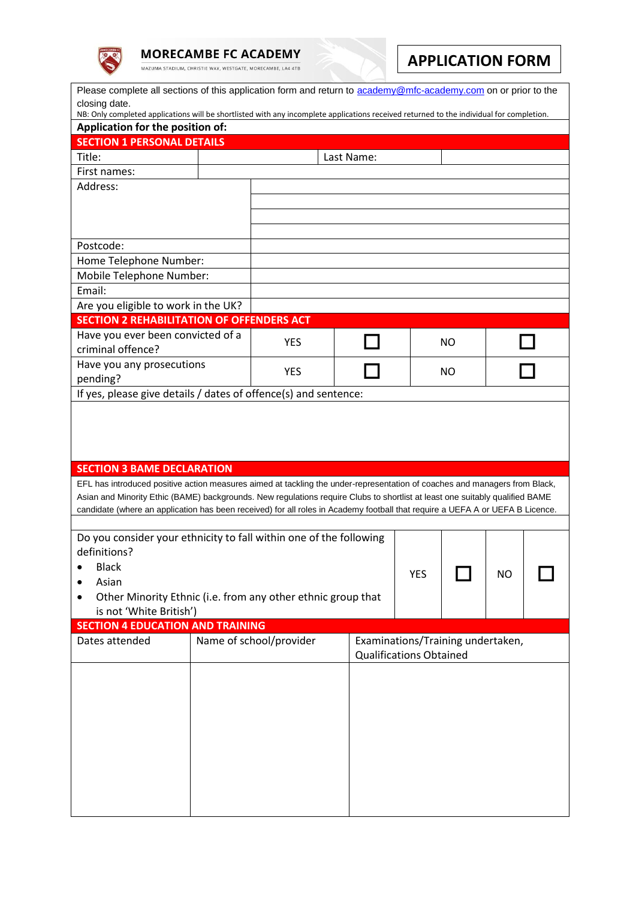

**MORECAMBE FC ACADEMY** 

MAZUMA STADIUM, CHRISTIE WAY, WESTGATE, MORECAMBE, LA4 4TB

## **APPLICATION FORM**

| Please complete all sections of this application form and return to academy@mfc-academy.com on or prior to the<br>closing date.<br>NB: Only completed applications will be shortlisted with any incomplete applications received returned to the individual for completion.                                                                                                                                                      |                         |            |           |                                                                     |    |  |  |  |  |  |  |
|----------------------------------------------------------------------------------------------------------------------------------------------------------------------------------------------------------------------------------------------------------------------------------------------------------------------------------------------------------------------------------------------------------------------------------|-------------------------|------------|-----------|---------------------------------------------------------------------|----|--|--|--|--|--|--|
| Application for the position of:                                                                                                                                                                                                                                                                                                                                                                                                 |                         |            |           |                                                                     |    |  |  |  |  |  |  |
| <b>SECTION 1 PERSONAL DETAILS</b>                                                                                                                                                                                                                                                                                                                                                                                                |                         |            |           |                                                                     |    |  |  |  |  |  |  |
| Title:                                                                                                                                                                                                                                                                                                                                                                                                                           | Last Name:              |            |           |                                                                     |    |  |  |  |  |  |  |
| First names:                                                                                                                                                                                                                                                                                                                                                                                                                     |                         |            |           |                                                                     |    |  |  |  |  |  |  |
| Address:                                                                                                                                                                                                                                                                                                                                                                                                                         |                         |            |           |                                                                     |    |  |  |  |  |  |  |
|                                                                                                                                                                                                                                                                                                                                                                                                                                  |                         |            |           |                                                                     |    |  |  |  |  |  |  |
|                                                                                                                                                                                                                                                                                                                                                                                                                                  |                         |            |           |                                                                     |    |  |  |  |  |  |  |
| Postcode:                                                                                                                                                                                                                                                                                                                                                                                                                        |                         |            |           |                                                                     |    |  |  |  |  |  |  |
| Home Telephone Number:                                                                                                                                                                                                                                                                                                                                                                                                           |                         |            |           |                                                                     |    |  |  |  |  |  |  |
| Mobile Telephone Number:                                                                                                                                                                                                                                                                                                                                                                                                         |                         |            |           |                                                                     |    |  |  |  |  |  |  |
| Email:                                                                                                                                                                                                                                                                                                                                                                                                                           |                         |            |           |                                                                     |    |  |  |  |  |  |  |
| Are you eligible to work in the UK?                                                                                                                                                                                                                                                                                                                                                                                              |                         |            |           |                                                                     |    |  |  |  |  |  |  |
| <b>SECTION 2 REHABILITATION OF OFFENDERS ACT</b>                                                                                                                                                                                                                                                                                                                                                                                 |                         |            |           |                                                                     |    |  |  |  |  |  |  |
| Have you ever been convicted of a                                                                                                                                                                                                                                                                                                                                                                                                |                         |            |           |                                                                     |    |  |  |  |  |  |  |
| criminal offence?                                                                                                                                                                                                                                                                                                                                                                                                                |                         | <b>YES</b> |           |                                                                     | NO |  |  |  |  |  |  |
| Have you any prosecutions                                                                                                                                                                                                                                                                                                                                                                                                        |                         |            |           |                                                                     |    |  |  |  |  |  |  |
| pending?                                                                                                                                                                                                                                                                                                                                                                                                                         |                         | <b>YES</b> |           |                                                                     | NO |  |  |  |  |  |  |
| If yes, please give details / dates of offence(s) and sentence:                                                                                                                                                                                                                                                                                                                                                                  |                         |            |           |                                                                     |    |  |  |  |  |  |  |
|                                                                                                                                                                                                                                                                                                                                                                                                                                  |                         |            |           |                                                                     |    |  |  |  |  |  |  |
| <b>SECTION 3 BAME DECLARATION</b><br>EFL has introduced positive action measures aimed at tackling the under-representation of coaches and managers from Black,<br>Asian and Minority Ethic (BAME) backgrounds. New regulations require Clubs to shortlist at least one suitably qualified BAME<br>candidate (where an application has been received) for all roles in Academy football that require a UEFA A or UEFA B Licence. |                         |            |           |                                                                     |    |  |  |  |  |  |  |
| Do you consider your ethnicity to fall within one of the following                                                                                                                                                                                                                                                                                                                                                               |                         |            |           |                                                                     |    |  |  |  |  |  |  |
| definitions?                                                                                                                                                                                                                                                                                                                                                                                                                     |                         |            |           |                                                                     |    |  |  |  |  |  |  |
| <b>Black</b>                                                                                                                                                                                                                                                                                                                                                                                                                     | <b>YES</b>              |            | <b>NO</b> |                                                                     |    |  |  |  |  |  |  |
| Asian                                                                                                                                                                                                                                                                                                                                                                                                                            |                         |            |           |                                                                     |    |  |  |  |  |  |  |
| Other Minority Ethnic (i.e. from any other ethnic group that<br>is not 'White British')                                                                                                                                                                                                                                                                                                                                          |                         |            |           |                                                                     |    |  |  |  |  |  |  |
| <b>SECTION 4 EDUCATION AND TRAINING</b>                                                                                                                                                                                                                                                                                                                                                                                          |                         |            |           |                                                                     |    |  |  |  |  |  |  |
| Dates attended                                                                                                                                                                                                                                                                                                                                                                                                                   |                         |            |           |                                                                     |    |  |  |  |  |  |  |
|                                                                                                                                                                                                                                                                                                                                                                                                                                  | Name of school/provider |            |           | Examinations/Training undertaken,<br><b>Qualifications Obtained</b> |    |  |  |  |  |  |  |
|                                                                                                                                                                                                                                                                                                                                                                                                                                  |                         |            |           |                                                                     |    |  |  |  |  |  |  |
|                                                                                                                                                                                                                                                                                                                                                                                                                                  |                         |            |           |                                                                     |    |  |  |  |  |  |  |
|                                                                                                                                                                                                                                                                                                                                                                                                                                  |                         |            |           |                                                                     |    |  |  |  |  |  |  |
|                                                                                                                                                                                                                                                                                                                                                                                                                                  |                         |            |           |                                                                     |    |  |  |  |  |  |  |
|                                                                                                                                                                                                                                                                                                                                                                                                                                  |                         |            |           |                                                                     |    |  |  |  |  |  |  |
|                                                                                                                                                                                                                                                                                                                                                                                                                                  |                         |            |           |                                                                     |    |  |  |  |  |  |  |
|                                                                                                                                                                                                                                                                                                                                                                                                                                  |                         |            |           |                                                                     |    |  |  |  |  |  |  |
|                                                                                                                                                                                                                                                                                                                                                                                                                                  |                         |            |           |                                                                     |    |  |  |  |  |  |  |
|                                                                                                                                                                                                                                                                                                                                                                                                                                  |                         |            |           |                                                                     |    |  |  |  |  |  |  |